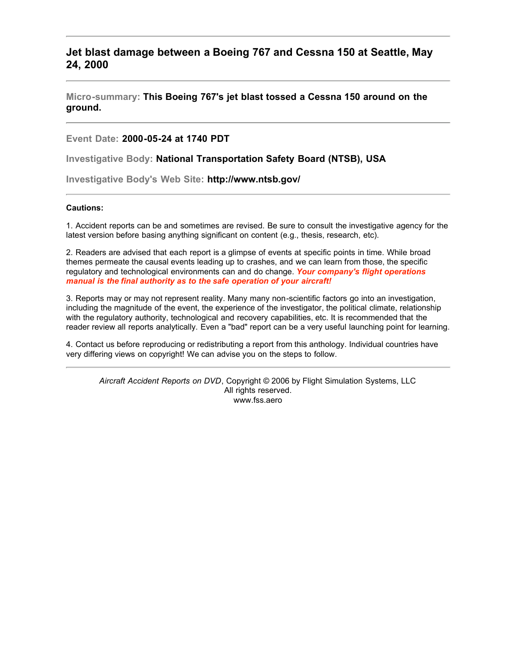## **Jet blast damage between a Boeing 767 and Cessna 150 at Seattle, May 24, 2000**

**Micro-summary: This Boeing 767's jet blast tossed a Cessna 150 around on the ground.**

**Event Date: 2000-05-24 at 1740 PDT**

**Investigative Body: National Transportation Safety Board (NTSB), USA**

**Investigative Body's Web Site: http://www.ntsb.gov/**

## **Cautions:**

1. Accident reports can be and sometimes are revised. Be sure to consult the investigative agency for the latest version before basing anything significant on content (e.g., thesis, research, etc).

2. Readers are advised that each report is a glimpse of events at specific points in time. While broad themes permeate the causal events leading up to crashes, and we can learn from those, the specific regulatory and technological environments can and do change. *Your company's flight operations manual is the final authority as to the safe operation of your aircraft!*

3. Reports may or may not represent reality. Many many non-scientific factors go into an investigation, including the magnitude of the event, the experience of the investigator, the political climate, relationship with the regulatory authority, technological and recovery capabilities, etc. It is recommended that the reader review all reports analytically. Even a "bad" report can be a very useful launching point for learning.

4. Contact us before reproducing or redistributing a report from this anthology. Individual countries have very differing views on copyright! We can advise you on the steps to follow.

*Aircraft Accident Reports on DVD*, Copyright © 2006 by Flight Simulation Systems, LLC All rights reserved. www.fss.aero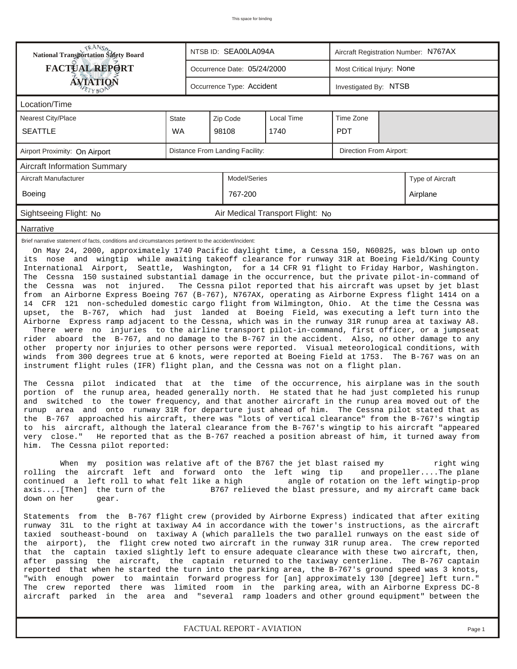| TRANSO.<br>National Transportation Safety Board                                                                                                                                    |           |                                                                                                                                                                                                                                                                                                                                                                                                                                                                                                                                                                                                                                                                                                                                                                                                                                                                                                                                                                                                                                                                                                                                                                                                                                                                                                                                                                                                                                                                                                                                                                                                                                                                                                                                                                                                                                                                                                                                                                                                                                                                                                                                                                                                                                                                                                                                                                                                                                                                                                                                                                                                                                                                                                                                                                                                                                                                                                                                                                                                                                                                                                                                                                                                                                                                                                                                                                                                                                                                                                                                                                                          | NTSB ID: SEA00LA094A        |                                  | Aircraft Registration Number: N767AX |          |  |  |  |  |
|------------------------------------------------------------------------------------------------------------------------------------------------------------------------------------|-----------|------------------------------------------------------------------------------------------------------------------------------------------------------------------------------------------------------------------------------------------------------------------------------------------------------------------------------------------------------------------------------------------------------------------------------------------------------------------------------------------------------------------------------------------------------------------------------------------------------------------------------------------------------------------------------------------------------------------------------------------------------------------------------------------------------------------------------------------------------------------------------------------------------------------------------------------------------------------------------------------------------------------------------------------------------------------------------------------------------------------------------------------------------------------------------------------------------------------------------------------------------------------------------------------------------------------------------------------------------------------------------------------------------------------------------------------------------------------------------------------------------------------------------------------------------------------------------------------------------------------------------------------------------------------------------------------------------------------------------------------------------------------------------------------------------------------------------------------------------------------------------------------------------------------------------------------------------------------------------------------------------------------------------------------------------------------------------------------------------------------------------------------------------------------------------------------------------------------------------------------------------------------------------------------------------------------------------------------------------------------------------------------------------------------------------------------------------------------------------------------------------------------------------------------------------------------------------------------------------------------------------------------------------------------------------------------------------------------------------------------------------------------------------------------------------------------------------------------------------------------------------------------------------------------------------------------------------------------------------------------------------------------------------------------------------------------------------------------------------------------------------------------------------------------------------------------------------------------------------------------------------------------------------------------------------------------------------------------------------------------------------------------------------------------------------------------------------------------------------------------------------------------------------------------------------------------------------------------|-----------------------------|----------------------------------|--------------------------------------|----------|--|--|--|--|
| <b>FACTUAL REPORT</b>                                                                                                                                                              |           |                                                                                                                                                                                                                                                                                                                                                                                                                                                                                                                                                                                                                                                                                                                                                                                                                                                                                                                                                                                                                                                                                                                                                                                                                                                                                                                                                                                                                                                                                                                                                                                                                                                                                                                                                                                                                                                                                                                                                                                                                                                                                                                                                                                                                                                                                                                                                                                                                                                                                                                                                                                                                                                                                                                                                                                                                                                                                                                                                                                                                                                                                                                                                                                                                                                                                                                                                                                                                                                                                                                                                                                          | Occurrence Date: 05/24/2000 |                                  | Most Critical Injury: None           |          |  |  |  |  |
| <b>ÁVIATIQN</b>                                                                                                                                                                    |           | Occurrence Type: Accident                                                                                                                                                                                                                                                                                                                                                                                                                                                                                                                                                                                                                                                                                                                                                                                                                                                                                                                                                                                                                                                                                                                                                                                                                                                                                                                                                                                                                                                                                                                                                                                                                                                                                                                                                                                                                                                                                                                                                                                                                                                                                                                                                                                                                                                                                                                                                                                                                                                                                                                                                                                                                                                                                                                                                                                                                                                                                                                                                                                                                                                                                                                                                                                                                                                                                                                                                                                                                                                                                                                                                                |                             | Investigated By: NTSB            |                                      |          |  |  |  |  |
| Location/Time                                                                                                                                                                      |           |                                                                                                                                                                                                                                                                                                                                                                                                                                                                                                                                                                                                                                                                                                                                                                                                                                                                                                                                                                                                                                                                                                                                                                                                                                                                                                                                                                                                                                                                                                                                                                                                                                                                                                                                                                                                                                                                                                                                                                                                                                                                                                                                                                                                                                                                                                                                                                                                                                                                                                                                                                                                                                                                                                                                                                                                                                                                                                                                                                                                                                                                                                                                                                                                                                                                                                                                                                                                                                                                                                                                                                                          |                             |                                  |                                      |          |  |  |  |  |
| Nearest City/Place                                                                                                                                                                 | State     |                                                                                                                                                                                                                                                                                                                                                                                                                                                                                                                                                                                                                                                                                                                                                                                                                                                                                                                                                                                                                                                                                                                                                                                                                                                                                                                                                                                                                                                                                                                                                                                                                                                                                                                                                                                                                                                                                                                                                                                                                                                                                                                                                                                                                                                                                                                                                                                                                                                                                                                                                                                                                                                                                                                                                                                                                                                                                                                                                                                                                                                                                                                                                                                                                                                                                                                                                                                                                                                                                                                                                                                          | Zip Code                    | <b>Local Time</b>                | Time Zone                            |          |  |  |  |  |
| <b>SEATTLE</b>                                                                                                                                                                     | <b>WA</b> |                                                                                                                                                                                                                                                                                                                                                                                                                                                                                                                                                                                                                                                                                                                                                                                                                                                                                                                                                                                                                                                                                                                                                                                                                                                                                                                                                                                                                                                                                                                                                                                                                                                                                                                                                                                                                                                                                                                                                                                                                                                                                                                                                                                                                                                                                                                                                                                                                                                                                                                                                                                                                                                                                                                                                                                                                                                                                                                                                                                                                                                                                                                                                                                                                                                                                                                                                                                                                                                                                                                                                                                          | 98108                       | 1740<br><b>PDT</b>               |                                      |          |  |  |  |  |
| Airport Proximity: On Airport                                                                                                                                                      |           | Distance From Landing Facility:<br>Direction From Airport:                                                                                                                                                                                                                                                                                                                                                                                                                                                                                                                                                                                                                                                                                                                                                                                                                                                                                                                                                                                                                                                                                                                                                                                                                                                                                                                                                                                                                                                                                                                                                                                                                                                                                                                                                                                                                                                                                                                                                                                                                                                                                                                                                                                                                                                                                                                                                                                                                                                                                                                                                                                                                                                                                                                                                                                                                                                                                                                                                                                                                                                                                                                                                                                                                                                                                                                                                                                                                                                                                                                               |                             |                                  |                                      |          |  |  |  |  |
| <b>Aircraft Information Summary</b>                                                                                                                                                |           |                                                                                                                                                                                                                                                                                                                                                                                                                                                                                                                                                                                                                                                                                                                                                                                                                                                                                                                                                                                                                                                                                                                                                                                                                                                                                                                                                                                                                                                                                                                                                                                                                                                                                                                                                                                                                                                                                                                                                                                                                                                                                                                                                                                                                                                                                                                                                                                                                                                                                                                                                                                                                                                                                                                                                                                                                                                                                                                                                                                                                                                                                                                                                                                                                                                                                                                                                                                                                                                                                                                                                                                          |                             |                                  |                                      |          |  |  |  |  |
| Aircraft Manufacturer                                                                                                                                                              |           | Model/Series                                                                                                                                                                                                                                                                                                                                                                                                                                                                                                                                                                                                                                                                                                                                                                                                                                                                                                                                                                                                                                                                                                                                                                                                                                                                                                                                                                                                                                                                                                                                                                                                                                                                                                                                                                                                                                                                                                                                                                                                                                                                                                                                                                                                                                                                                                                                                                                                                                                                                                                                                                                                                                                                                                                                                                                                                                                                                                                                                                                                                                                                                                                                                                                                                                                                                                                                                                                                                                                                                                                                                                             |                             | Type of Aircraft                 |                                      |          |  |  |  |  |
| <b>Boeing</b>                                                                                                                                                                      |           | 767-200                                                                                                                                                                                                                                                                                                                                                                                                                                                                                                                                                                                                                                                                                                                                                                                                                                                                                                                                                                                                                                                                                                                                                                                                                                                                                                                                                                                                                                                                                                                                                                                                                                                                                                                                                                                                                                                                                                                                                                                                                                                                                                                                                                                                                                                                                                                                                                                                                                                                                                                                                                                                                                                                                                                                                                                                                                                                                                                                                                                                                                                                                                                                                                                                                                                                                                                                                                                                                                                                                                                                                                                  |                             |                                  |                                      | Airplane |  |  |  |  |
| Sightseeing Flight: No                                                                                                                                                             |           |                                                                                                                                                                                                                                                                                                                                                                                                                                                                                                                                                                                                                                                                                                                                                                                                                                                                                                                                                                                                                                                                                                                                                                                                                                                                                                                                                                                                                                                                                                                                                                                                                                                                                                                                                                                                                                                                                                                                                                                                                                                                                                                                                                                                                                                                                                                                                                                                                                                                                                                                                                                                                                                                                                                                                                                                                                                                                                                                                                                                                                                                                                                                                                                                                                                                                                                                                                                                                                                                                                                                                                                          |                             | Air Medical Transport Flight: No |                                      |          |  |  |  |  |
| Narrative                                                                                                                                                                          |           |                                                                                                                                                                                                                                                                                                                                                                                                                                                                                                                                                                                                                                                                                                                                                                                                                                                                                                                                                                                                                                                                                                                                                                                                                                                                                                                                                                                                                                                                                                                                                                                                                                                                                                                                                                                                                                                                                                                                                                                                                                                                                                                                                                                                                                                                                                                                                                                                                                                                                                                                                                                                                                                                                                                                                                                                                                                                                                                                                                                                                                                                                                                                                                                                                                                                                                                                                                                                                                                                                                                                                                                          |                             |                                  |                                      |          |  |  |  |  |
| rider<br>and<br>very close."<br>him.<br>The Cessna pilot reported:<br>When<br>continued a left roll to what felt like a high<br>axis[Then] the turn of the<br>down on her<br>gear. |           | Brief narrative statement of facts, conditions and circumstances pertinent to the accident/incident:<br>On May 24, 2000, approximately 1740 Pacific daylight time, a Cessna 150, N60825, was blown up onto<br>its nose and wingtip while awaiting takeoff clearance for runway 31R at Boeing Field/King County<br>International Airport, Seattle, Washington, for a 14 CFR 91 flight to Friday Harbor, Washington.<br>The Cessna 150 sustained substantial damage in the occurrence, but the private pilot-in-command of<br>the Cessna was not injured. The Cessna pilot reported that his aircraft was upset by jet blast<br>from an Airborne Express Boeing 767 (B-767), N767AX, operating as Airborne Express flight 1414 on a<br>14 CFR 121 non-scheduled domestic cargo flight from Wilmington, Ohio. At the time the Cessna was<br>upset, the B-767, which had just landed at Boeing Field, was executing a left turn into the<br>Airborne Express ramp adjacent to the Cessna, which was in the runway 31R runup area at taxiway A8.<br>There were no injuries to the airline transport pilot-in-command, first officer, or a jumpseat<br>aboard the B-767, and no damage to the B-767 in the accident. Also, no other damage to any<br>other property nor injuries to other persons were reported. Visual meteorological conditions, with<br>winds from 300 degrees true at 6 knots, were reported at Boeing Field at 1753. The B-767 was on an<br>instrument flight rules (IFR) flight plan, and the Cessna was not on a flight plan.<br>The Cessna pilot indicated that at the time of the occurrence, his airplane was in the south<br>portion of the runup area, headed generally north. He stated that he had just completed his runup<br>switched to the tower frequency, and that another aircraft in the runup area moved out of the<br>runup area and onto runway 31R for departure just ahead of him. The Cessna pilot stated that as<br>the B-767 approached his aircraft, there was "lots of vertical clearance" from the B-767's wingtip<br>to his aircraft, although the lateral clearance from the B-767's wingtip to his aircraft "appeared<br>He reported that as the B-767 reached a position abreast of him, it turned away from<br>my position was relative aft of the B767 the jet blast raised my<br>right wing<br>rolling the aircraft left and forward onto the left wing tip<br>and propellerThe plane<br>angle of rotation on the left wingtip-prop<br>B767 relieved the blast pressure, and my aircraft came back<br>Statements from the B-767 flight crew (provided by Airborne Express) indicated that after exiting<br>runway 31L to the right at taxiway A4 in accordance with the tower's instructions, as the aircraft<br>taxied southeast-bound on taxiway A (which parallels the two parallel runways on the east side of<br>the airport), the flight crew noted two aircraft in the runway 31R runup area. The crew reported<br>that the captain taxied slightly left to ensure adequate clearance with these two aircraft, then,<br>after passing the aircraft, the captain returned to the taxiway centerline. The B-767 captain<br>reported that when he started the turn into the parking area, the B-767's ground speed was 3 knots,<br>"with enough power to maintain forward progress for [an] approximately 130 [degree] left turn."<br>The crew reported there was limited room in the parking area, with an Airborne Express DC-8<br>aircraft parked in the area and "several ramp loaders and other ground equipment" between the |                             |                                  |                                      |          |  |  |  |  |

*FACTUAL REPORT - AVIATION Page 1*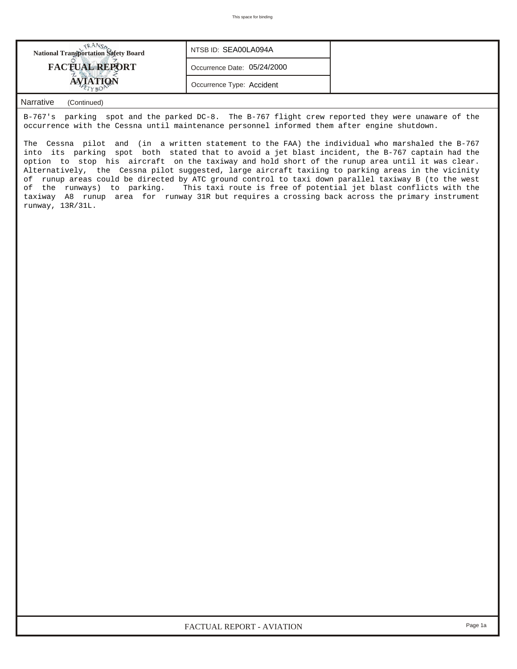

## *Narrative (Continued)*

B-767's parking spot and the parked DC-8. The B-767 flight crew reported they were unaware of the occurrence with the Cessna until maintenance personnel informed them after engine shutdown.

The Cessna pilot and (in a written statement to the FAA) the individual who marshaled the B-767 into its parking spot both stated that to avoid a jet blast incident, the B-767 captain had the option to stop his aircraft on the taxiway and hold short of the runup area until it was clear. Alternatively, the Cessna pilot suggested, large aircraft taxiing to parking areas in the vicinity of runup areas could be directed by ATC ground control to taxi down parallel taxiway B (to the west of the runways) to parking. This taxi route is free of potential jet blast conflicts with the taxiway A8 runup area for runway 31R but requires a crossing back across the primary instrument runway, 13R/31L.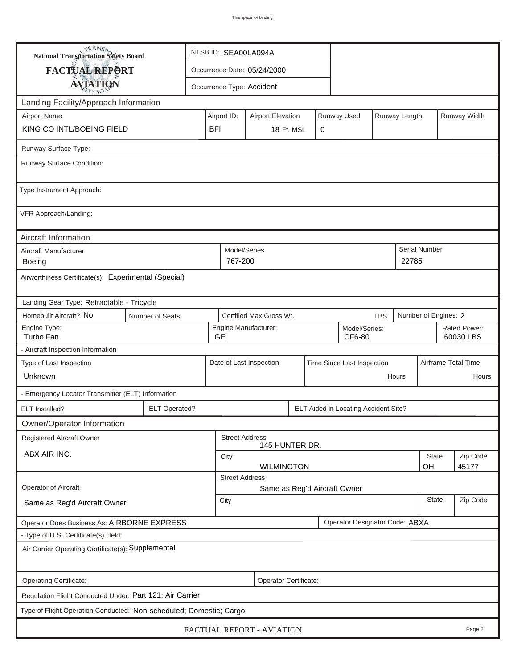| <b>National Transportation Safety Board</b>                         |                                                          | NTSB ID: SEA00LA094A                                                    |                                                                |                       |                         |                                      |            |                           |                      |                              |  |
|---------------------------------------------------------------------|----------------------------------------------------------|-------------------------------------------------------------------------|----------------------------------------------------------------|-----------------------|-------------------------|--------------------------------------|------------|---------------------------|----------------------|------------------------------|--|
| FACTUAL REPORT                                                      |                                                          | Occurrence Date: 05/24/2000                                             |                                                                |                       |                         |                                      |            |                           |                      |                              |  |
| <b>AVIATION</b>                                                     |                                                          |                                                                         | Occurrence Type: Accident                                      |                       |                         |                                      |            |                           |                      |                              |  |
| Landing Facility/Approach Information                               |                                                          |                                                                         |                                                                |                       |                         |                                      |            |                           |                      |                              |  |
| <b>Airport Name</b>                                                 |                                                          | Runway Used<br>Runway Length<br>Airport ID:<br><b>Airport Elevation</b> |                                                                |                       |                         |                                      |            |                           | Runway Width         |                              |  |
| KING CO INTL/BOEING FIELD                                           |                                                          | <b>BFI</b>                                                              |                                                                | 18 Ft. MSL            | 0                       |                                      |            |                           |                      |                              |  |
| Runway Surface Type:                                                |                                                          |                                                                         |                                                                |                       |                         |                                      |            |                           |                      |                              |  |
| Runway Surface Condition:                                           |                                                          |                                                                         |                                                                |                       |                         |                                      |            |                           |                      |                              |  |
| Type Instrument Approach:                                           |                                                          |                                                                         |                                                                |                       |                         |                                      |            |                           |                      |                              |  |
| VFR Approach/Landing:                                               |                                                          |                                                                         |                                                                |                       |                         |                                      |            |                           |                      |                              |  |
| Aircraft Information                                                |                                                          |                                                                         |                                                                |                       |                         |                                      |            |                           |                      |                              |  |
| Aircraft Manufacturer<br>Boeing                                     |                                                          |                                                                         | Model/Series<br>767-200                                        |                       |                         |                                      |            | 22785                     | <b>Serial Number</b> |                              |  |
|                                                                     | Airworthiness Certificate(s): Experimental (Special)     |                                                                         |                                                                |                       |                         |                                      |            |                           |                      |                              |  |
| Landing Gear Type: Retractable - Tricycle                           |                                                          |                                                                         |                                                                |                       |                         |                                      |            |                           |                      |                              |  |
| Homebuilt Aircraft? No<br>Number of Seats:                          |                                                          |                                                                         | Certified Max Gross Wt.                                        |                       |                         |                                      | <b>LBS</b> |                           | Number of Engines: 2 |                              |  |
| Engine Type:<br>Turbo Fan                                           | <b>GE</b>                                                | Engine Manufacturer:                                                    |                                                                |                       | Model/Series:<br>CF6-80 |                                      |            | Rated Power:<br>60030 LBS |                      |                              |  |
| - Aircraft Inspection Information                                   |                                                          |                                                                         |                                                                |                       |                         |                                      |            |                           |                      |                              |  |
| Type of Last Inspection<br>Unknown                                  |                                                          |                                                                         | Date of Last Inspection<br>Time Since Last Inspection<br>Hours |                       |                         |                                      |            |                           |                      | Airframe Total Time<br>Hours |  |
|                                                                     |                                                          |                                                                         |                                                                |                       |                         |                                      |            |                           |                      |                              |  |
| - Emergency Locator Transmitter (ELT) Information<br>ELT Installed? | ELT Operated?                                            |                                                                         |                                                                |                       |                         | ELT Aided in Locating Accident Site? |            |                           |                      |                              |  |
| Owner/Operator Information                                          |                                                          |                                                                         |                                                                |                       |                         |                                      |            |                           |                      |                              |  |
| <b>Registered Aircraft Owner</b>                                    |                                                          |                                                                         | <b>Street Address</b>                                          |                       |                         |                                      |            |                           |                      |                              |  |
| ABX AIR INC.                                                        |                                                          |                                                                         |                                                                | 145 HUNTER DR.        |                         |                                      |            |                           |                      |                              |  |
|                                                                     |                                                          | <b>State</b><br>City<br>OH<br><b>WILMINGTON</b>                         |                                                                |                       |                         |                                      |            |                           | Zip Code<br>45177    |                              |  |
|                                                                     |                                                          |                                                                         | <b>Street Address</b>                                          |                       |                         |                                      |            |                           |                      |                              |  |
| Operator of Aircraft                                                |                                                          | Same as Reg'd Aircraft Owner<br>City                                    |                                                                |                       |                         |                                      |            | <b>State</b>              | Zip Code             |                              |  |
| Same as Reg'd Aircraft Owner                                        |                                                          |                                                                         |                                                                |                       |                         |                                      |            |                           |                      |                              |  |
| Operator Does Business As: AIRBORNE EXPRESS                         |                                                          |                                                                         |                                                                |                       |                         | Operator Designator Code: ABXA       |            |                           |                      |                              |  |
| - Type of U.S. Certificate(s) Held:                                 |                                                          |                                                                         |                                                                |                       |                         |                                      |            |                           |                      |                              |  |
| Air Carrier Operating Certificate(s): Supplemental                  |                                                          |                                                                         |                                                                |                       |                         |                                      |            |                           |                      |                              |  |
| Operating Certificate:                                              |                                                          |                                                                         |                                                                | Operator Certificate: |                         |                                      |            |                           |                      |                              |  |
|                                                                     | Regulation Flight Conducted Under: Part 121: Air Carrier |                                                                         |                                                                |                       |                         |                                      |            |                           |                      |                              |  |
| Type of Flight Operation Conducted: Non-scheduled; Domestic; Cargo  |                                                          |                                                                         |                                                                |                       |                         |                                      |            |                           |                      |                              |  |
| FACTUAL REPORT - AVIATION<br>Page 2                                 |                                                          |                                                                         |                                                                |                       |                         |                                      |            |                           |                      |                              |  |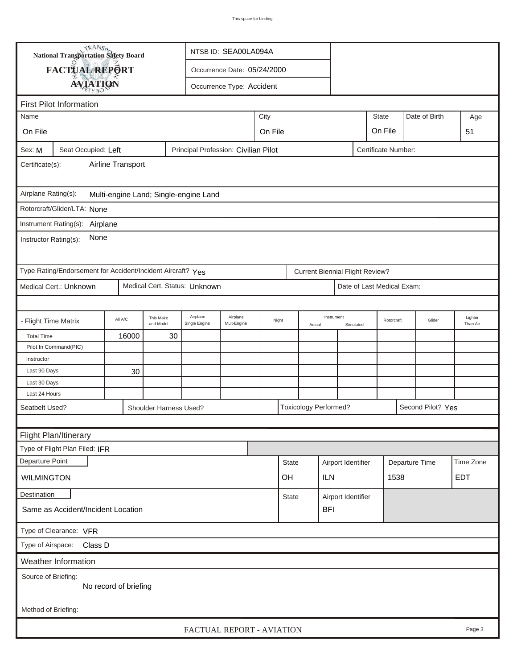|                                                                                              |                                                             | <b>National Transportation Safety Board</b><br>NTSB ID: SEA00LA094A |                        |                               |                             |  |                 |            |                                        |           |                            |  |                   |                     |
|----------------------------------------------------------------------------------------------|-------------------------------------------------------------|---------------------------------------------------------------------|------------------------|-------------------------------|-----------------------------|--|-----------------|------------|----------------------------------------|-----------|----------------------------|--|-------------------|---------------------|
|                                                                                              | FACTUAL REPORT                                              |                                                                     |                        |                               | Occurrence Date: 05/24/2000 |  |                 |            |                                        |           |                            |  |                   |                     |
|                                                                                              |                                                             |                                                                     |                        |                               | Occurrence Type: Accident   |  |                 |            |                                        |           |                            |  |                   |                     |
| <b>AVIATION</b>                                                                              |                                                             |                                                                     |                        |                               |                             |  |                 |            |                                        |           |                            |  |                   |                     |
| <b>First Pilot Information</b>                                                               |                                                             |                                                                     |                        |                               |                             |  |                 |            |                                        |           |                            |  |                   |                     |
| Name                                                                                         |                                                             |                                                                     |                        | City<br><b>State</b>          |                             |  |                 |            |                                        |           |                            |  | Date of Birth     | Age                 |
| On File                                                                                      |                                                             |                                                                     |                        |                               | On File<br>On File          |  |                 |            |                                        |           |                            |  |                   | 51                  |
| Principal Profession: Civilian Pilot<br>Seat Occupied: Left<br>Certificate Number:<br>Sex: M |                                                             |                                                                     |                        |                               |                             |  |                 |            |                                        |           |                            |  |                   |                     |
| Airline Transport<br>Certificate(s):                                                         |                                                             |                                                                     |                        |                               |                             |  |                 |            |                                        |           |                            |  |                   |                     |
| Airplane Rating(s):<br>Multi-engine Land; Single-engine Land                                 |                                                             |                                                                     |                        |                               |                             |  |                 |            |                                        |           |                            |  |                   |                     |
|                                                                                              | Rotorcraft/Glider/LTA: None                                 |                                                                     |                        |                               |                             |  |                 |            |                                        |           |                            |  |                   |                     |
|                                                                                              |                                                             |                                                                     |                        |                               |                             |  |                 |            |                                        |           |                            |  |                   |                     |
| Instrument Rating(s):<br>Airplane<br>None<br>Instructor Rating(s):                           |                                                             |                                                                     |                        |                               |                             |  |                 |            |                                        |           |                            |  |                   |                     |
|                                                                                              | Type Rating/Endorsement for Accident/Incident Aircraft? Yes |                                                                     |                        |                               |                             |  |                 |            | <b>Current Biennial Flight Review?</b> |           |                            |  |                   |                     |
|                                                                                              | Medical Cert.: Unknown                                      |                                                                     |                        | Medical Cert. Status: Unknown |                             |  |                 |            |                                        |           | Date of Last Medical Exam: |  |                   |                     |
|                                                                                              |                                                             |                                                                     |                        |                               |                             |  |                 |            |                                        |           |                            |  |                   |                     |
| - Flight Time Matrix                                                                         |                                                             | All A/C                                                             | This Make<br>and Model | Airplane<br>Single Engine     | Airplane<br>Mult-Engine     |  | Night<br>Actual |            | Instrument                             | Simulated | Rotorcraft                 |  | Glider            | Lighter<br>Than Air |
| <b>Total Time</b>                                                                            |                                                             | 16000                                                               | 30                     |                               |                             |  |                 |            |                                        |           |                            |  |                   |                     |
|                                                                                              | Pilot In Command(PIC)                                       |                                                                     |                        |                               |                             |  |                 |            |                                        |           |                            |  |                   |                     |
| Instructor                                                                                   |                                                             |                                                                     |                        |                               |                             |  |                 |            |                                        |           |                            |  |                   |                     |
| Last 90 Days<br>Last 30 Days                                                                 |                                                             | 30                                                                  |                        |                               |                             |  |                 |            |                                        |           |                            |  |                   |                     |
| Last 24 Hours                                                                                |                                                             |                                                                     |                        |                               |                             |  |                 |            |                                        |           |                            |  |                   |                     |
| Seatbelt Used?                                                                               |                                                             |                                                                     | Shoulder Harness Used? |                               |                             |  |                 |            | <b>Toxicology Performed?</b>           |           |                            |  | Second Pilot? Yes |                     |
|                                                                                              |                                                             |                                                                     |                        |                               |                             |  |                 |            |                                        |           |                            |  |                   |                     |
|                                                                                              | Flight Plan/Itinerary                                       |                                                                     |                        |                               |                             |  |                 |            |                                        |           |                            |  |                   |                     |
|                                                                                              | Type of Flight Plan Filed: IFR                              |                                                                     |                        |                               |                             |  |                 |            |                                        |           |                            |  |                   |                     |
| Departure Point                                                                              |                                                             |                                                                     |                        |                               |                             |  |                 |            | Airport Identifier                     |           |                            |  |                   | Time Zone           |
| <b>State</b><br><b>WILMINGTON</b><br>OH                                                      |                                                             |                                                                     |                        |                               |                             |  |                 | <b>ILN</b> |                                        |           | Departure Time<br>1538     |  | <b>EDT</b>        |                     |
| Destination                                                                                  |                                                             |                                                                     |                        |                               |                             |  | <b>State</b>    |            |                                        |           |                            |  |                   |                     |
|                                                                                              | Same as Accident/Incident Location                          |                                                                     |                        |                               |                             |  |                 |            | Airport Identifier<br><b>BFI</b>       |           |                            |  |                   |                     |
| Type of Clearance: VFR                                                                       |                                                             |                                                                     |                        |                               |                             |  |                 |            |                                        |           |                            |  |                   |                     |
| Type of Airspace: Class D                                                                    |                                                             |                                                                     |                        |                               |                             |  |                 |            |                                        |           |                            |  |                   |                     |
|                                                                                              | Weather Information                                         |                                                                     |                        |                               |                             |  |                 |            |                                        |           |                            |  |                   |                     |
| Source of Briefing:<br>No record of briefing                                                 |                                                             |                                                                     |                        |                               |                             |  |                 |            |                                        |           |                            |  |                   |                     |
| Method of Briefing:                                                                          |                                                             |                                                                     |                        |                               |                             |  |                 |            |                                        |           |                            |  |                   |                     |
| FACTUAL REPORT - AVIATION<br>Page 3                                                          |                                                             |                                                                     |                        |                               |                             |  |                 |            |                                        |           |                            |  |                   |                     |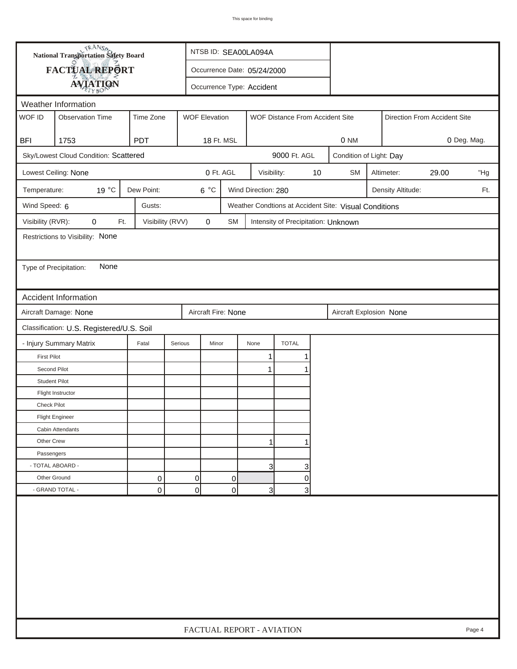| <b>National Transportation Safety Board</b> |                                                                                                 |                  |                | NTSB ID: SEA00LA094A        |                     |                                     |    |                                                       |                         |            |                              |     |  |
|---------------------------------------------|-------------------------------------------------------------------------------------------------|------------------|----------------|-----------------------------|---------------------|-------------------------------------|----|-------------------------------------------------------|-------------------------|------------|------------------------------|-----|--|
| FACTUAL REPORT                              |                                                                                                 |                  |                | Occurrence Date: 05/24/2000 |                     |                                     |    |                                                       |                         |            |                              |     |  |
|                                             | <b>AVIATION</b><br>Occurrence Type: Accident                                                    |                  |                |                             |                     |                                     |    |                                                       |                         |            |                              |     |  |
| Weather Information                         |                                                                                                 |                  |                |                             |                     |                                     |    |                                                       |                         |            |                              |     |  |
| WOF ID                                      | <b>WOF Elevation</b><br><b>Observation Time</b><br>Time Zone<br>WOF Distance From Accident Site |                  |                |                             |                     |                                     |    |                                                       |                         |            | Direction From Accident Site |     |  |
|                                             |                                                                                                 |                  |                |                             |                     |                                     |    |                                                       |                         |            |                              |     |  |
| <b>BFI</b>                                  | 1753                                                                                            | <b>PDT</b>       |                | 18 Ft. MSL                  |                     |                                     |    | 0 NM                                                  |                         |            | 0 Deg. Mag.                  |     |  |
|                                             | Sky/Lowest Cloud Condition: Scattered                                                           |                  |                |                             |                     | 9000 Ft. AGL                        |    |                                                       | Condition of Light: Day |            |                              |     |  |
|                                             | Lowest Ceiling: None                                                                            |                  |                | 0 Ft. AGL                   | Visibility:         |                                     | 10 | <b>SM</b>                                             |                         | Altimeter: | 29.00                        | "Hg |  |
| Temperature:                                | 19 °C                                                                                           | Dew Point:       | $6^{\circ}$ C  |                             | Wind Direction: 280 |                                     |    | Density Altitude:<br>Ft.                              |                         |            |                              |     |  |
| Wind Speed: 6                               |                                                                                                 | Gusts:           |                |                             |                     |                                     |    | Weather Condtions at Accident Site: Visual Conditions |                         |            |                              |     |  |
| Visibility (RVR):                           | 0<br>Ft.                                                                                        | Visibility (RVV) | 0              | SM                          |                     | Intensity of Precipitation: Unknown |    |                                                       |                         |            |                              |     |  |
|                                             | Restrictions to Visibility: None                                                                |                  |                |                             |                     |                                     |    |                                                       |                         |            |                              |     |  |
|                                             |                                                                                                 |                  |                |                             |                     |                                     |    |                                                       |                         |            |                              |     |  |
| Type of Precipitation:                      | None                                                                                            |                  |                |                             |                     |                                     |    |                                                       |                         |            |                              |     |  |
|                                             |                                                                                                 |                  |                |                             |                     |                                     |    |                                                       |                         |            |                              |     |  |
|                                             | <b>Accident Information</b>                                                                     |                  |                |                             |                     |                                     |    |                                                       |                         |            |                              |     |  |
|                                             | Aircraft Damage: None                                                                           |                  |                | Aircraft Fire: None         |                     |                                     |    | Aircraft Explosion None                               |                         |            |                              |     |  |
|                                             | Classification: U.S. Registered/U.S. Soil                                                       |                  |                |                             |                     |                                     |    |                                                       |                         |            |                              |     |  |
|                                             | - Injury Summary Matrix                                                                         | Fatal            | Serious        | Minor                       | None                | <b>TOTAL</b>                        |    |                                                       |                         |            |                              |     |  |
| <b>First Pilot</b>                          |                                                                                                 |                  |                |                             | 1                   | 1                                   |    |                                                       |                         |            |                              |     |  |
| Second Pilot                                |                                                                                                 |                  |                |                             | $\mathbf{1}$        | 1                                   |    |                                                       |                         |            |                              |     |  |
| <b>Student Pilot</b>                        |                                                                                                 |                  |                |                             |                     |                                     |    |                                                       |                         |            |                              |     |  |
|                                             | Flight Instructor                                                                               |                  |                |                             |                     |                                     |    |                                                       |                         |            |                              |     |  |
| <b>Check Pilot</b>                          |                                                                                                 |                  |                |                             |                     |                                     |    |                                                       |                         |            |                              |     |  |
|                                             | <b>Flight Engineer</b>                                                                          |                  |                |                             |                     |                                     |    |                                                       |                         |            |                              |     |  |
|                                             | Cabin Attendants                                                                                |                  |                |                             |                     |                                     |    |                                                       |                         |            |                              |     |  |
| Other Crew                                  |                                                                                                 |                  |                |                             | 1                   | 1                                   |    |                                                       |                         |            |                              |     |  |
| Passengers                                  |                                                                                                 |                  |                |                             |                     |                                     |    |                                                       |                         |            |                              |     |  |
| - TOTAL ABOARD -                            |                                                                                                 |                  |                |                             | 3                   | 3                                   |    |                                                       |                         |            |                              |     |  |
| Other Ground                                |                                                                                                 | 0                | $\overline{0}$ | 0                           |                     | $\overline{0}$                      |    |                                                       |                         |            |                              |     |  |
|                                             | - GRAND TOTAL -                                                                                 | 0                | $\Omega$       | 0                           | 3                   | 3 <sup>1</sup>                      |    |                                                       |                         |            |                              |     |  |
|                                             |                                                                                                 |                  |                |                             |                     |                                     |    |                                                       |                         |            |                              |     |  |
|                                             | FACTUAL REPORT - AVIATION<br>Page 4                                                             |                  |                |                             |                     |                                     |    |                                                       |                         |            |                              |     |  |